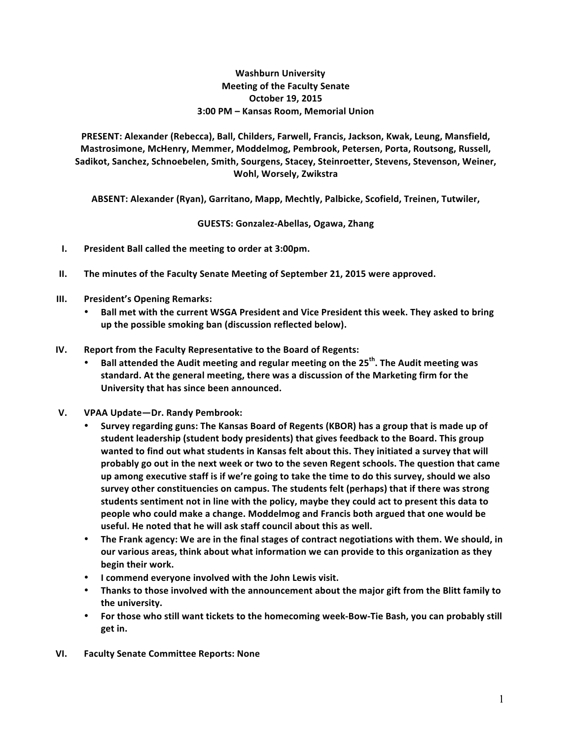## **Washburn University Meeting of the Faculty Senate October 19, 2015 3:00 PM – Kansas Room, Memorial Union**

PRESENT: Alexander (Rebecca), Ball, Childers, Farwell, Francis, Jackson, Kwak, Leung, Mansfield, Mastrosimone, McHenry, Memmer, Moddelmog, Pembrook, Petersen, Porta, Routsong, Russell, Sadikot, Sanchez, Schnoebelen, Smith, Sourgens, Stacey, Steinroetter, Stevens, Stevenson, Weiner, **Wohl, Worsely, Zwikstra**

ABSENT: Alexander (Ryan), Garritano, Mapp, Mechtly, Palbicke, Scofield, Treinen, Tutwiler,

**GUESTS: Gonzalez-Abellas, Ogawa, Zhang**

- **I.** President Ball called the meeting to order at 3:00pm.
- **II.** The minutes of the Faculty Senate Meeting of September 21, 2015 were approved.
- **III.** President's Opening Remarks:
	- Ball met with the current WSGA President and Vice President this week. They asked to bring **up the possible smoking ban (discussion reflected below).**
- **IV.** Report from the Faculty Representative to the Board of Regents:
	- **Ball attended the Audit meeting and regular meeting on the 25<sup>th</sup>. The Audit meeting was** standard. At the general meeting, there was a discussion of the Marketing firm for the University that has since been announced.
- **V. VPAA Update—Dr. Randy Pembrook:**
	- Survey regarding guns: The Kansas Board of Regents (KBOR) has a group that is made up of student leadership (student body presidents) that gives feedback to the Board. This group wanted to find out what students in Kansas felt about this. They initiated a survey that will probably go out in the next week or two to the seven Regent schools. The question that came up among executive staff is if we're going to take the time to do this survey, should we also survey other constituencies on campus. The students felt (perhaps) that if there was strong students sentiment not in line with the policy, maybe they could act to present this data to people who could make a change. Moddelmog and Francis both argued that one would be useful. He noted that he will ask staff council about this as well.
	- The Frank agency: We are in the final stages of contract negotiations with them. We should, in our various areas, think about what information we can provide to this organization as they **begin their work.**
	- **•** I commend everyone involved with the John Lewis visit.
	- Thanks to those involved with the announcement about the major gift from the Blitt family to the university.
	- For those who still want tickets to the homecoming week-Bow-Tie Bash, you can probably still **get in.**
- **VI. Faculty Senate Committee Reports: None**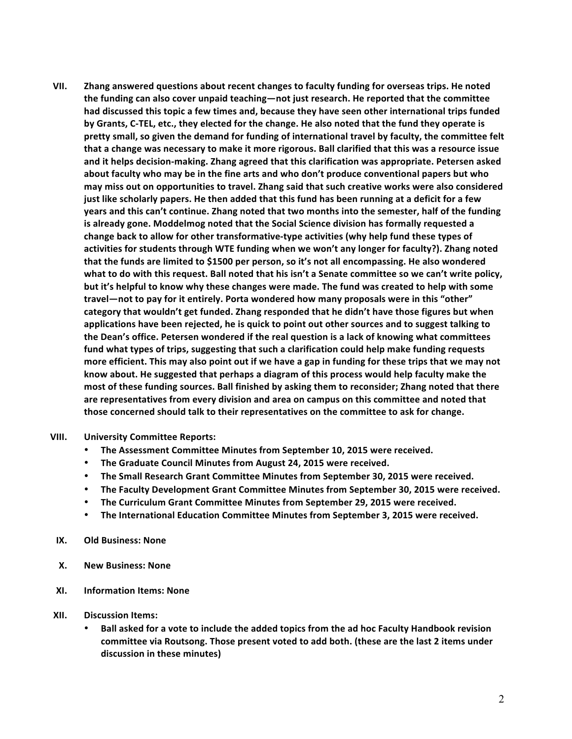VII. Zhang answered questions about recent changes to faculty funding for overseas trips. He noted the funding can also cover unpaid teaching—not just research. He reported that the committee **had** discussed this topic a few times and, because they have seen other international trips funded by Grants, C-TEL, etc., they elected for the change. He also noted that the fund they operate is pretty small, so given the demand for funding of international travel by faculty, the committee felt that a change was necessary to make it more rigorous. Ball clarified that this was a resource issue and it helps decision-making. Zhang agreed that this clarification was appropriate. Petersen asked about faculty who may be in the fine arts and who don't produce conventional papers but who may miss out on opportunities to travel. Zhang said that such creative works were also considered **just like scholarly papers. He then added that this fund has been running at a deficit for a few years and this can't continue. Zhang noted that two months into the semester, half of the funding** is already gone. Moddelmog noted that the Social Science division has formally requested a change back to allow for other transformative-type activities (why help fund these types of activities for students through WTE funding when we won't any longer for faculty?). Zhang noted that the funds are limited to \$1500 per person, so it's not all encompassing. He also wondered what to do with this request. Ball noted that his isn't a Senate committee so we can't write policy, but it's helpful to know why these changes were made. The fund was created to help with some travel—not to pay for it entirely. Porta wondered how many proposals were in this "other" category that wouldn't get funded. Zhang responded that he didn't have those figures but when applications have been rejected, he is quick to point out other sources and to suggest talking to the Dean's office. Petersen wondered if the real question is a lack of knowing what committees fund what types of trips, suggesting that such a clarification could help make funding requests more efficient. This may also point out if we have a gap in funding for these trips that we may not know about. He suggested that perhaps a diagram of this process would help faculty make the most of these funding sources. Ball finished by asking them to reconsider; Zhang noted that there are representatives from every division and area on campus on this committee and noted that **those concerned should talk to their representatives on the committee to ask for change.** 

## **VIII. University Committee Reports:**

- **The Assessment Committee Minutes from September 10, 2015 were received.**
- The Graduate Council Minutes from August 24, 2015 were received.
- The Small Research Grant Committee Minutes from September 30, 2015 were received.
- The Faculty Development Grant Committee Minutes from September 30, 2015 were received.
- **The Curriculum Grant Committee Minutes from September 29, 2015 were received.**
- **The International Education Committee Minutes from September 3, 2015 were received.**
- **IX. Old Business: None**
- **X. New Business: None**
- **XI. Information Items: None**
- **XII. Discussion Items:**
	- Ball asked for a vote to include the added topics from the ad hoc Faculty Handbook revision committee via Routsong. Those present voted to add both. (these are the last 2 items under discussion in these minutes)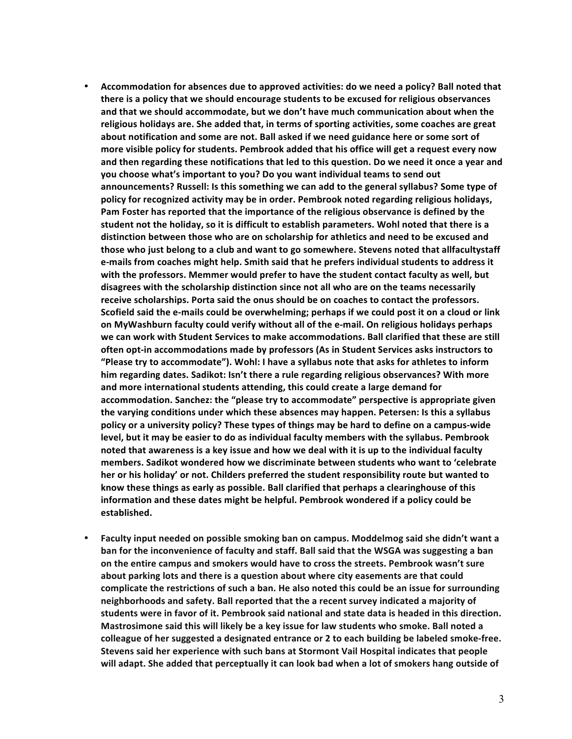- Accommodation for absences due to approved activities: do we need a policy? Ball noted that there is a policy that we should encourage students to be excused for religious observances and that we should accommodate, but we don't have much communication about when the religious holidays are. She added that, in terms of sporting activities, some coaches are great about notification and some are not. Ball asked if we need guidance here or some sort of more visible policy for students. Pembrook added that his office will get a request every now and then regarding these notifications that led to this question. Do we need it once a year and **you choose what's important to you? Do you want individual teams to send out** announcements? Russell: Is this something we can add to the general syllabus? Some type of policy for recognized activity may be in order. Pembrook noted regarding religious holidays, Pam Foster has reported that the importance of the religious observance is defined by the student not the holiday, so it is difficult to establish parameters. Wohl noted that there is a distinction between those who are on scholarship for athletics and need to be excused and those who just belong to a club and want to go somewhere. Stevens noted that allfacultystaff e-mails from coaches might help. Smith said that he prefers individual students to address it with the professors. Memmer would prefer to have the student contact faculty as well, but disagrees with the scholarship distinction since not all who are on the teams necessarily receive scholarships. Porta said the onus should be on coaches to contact the professors. Scofield said the e-mails could be overwhelming; perhaps if we could post it on a cloud or link on MyWashburn faculty could verify without all of the e-mail. On religious holidays perhaps we can work with Student Services to make accommodations. Ball clarified that these are still **often opt-in accommodations made by professors (As in Student Services asks instructors to "Please try to accommodate"). Wohl: I have a syllabus note that asks for athletes to inform** him regarding dates. Sadikot: Isn't there a rule regarding religious observances? With more and more international students attending, this could create a large demand for accommodation. Sanchez: the "please try to accommodate" perspective is appropriate given the varying conditions under which these absences may happen. Petersen: Is this a syllabus policy or a university policy? These types of things may be hard to define on a campus-wide level, but it may be easier to do as individual faculty members with the syllabus. Pembrook noted that awareness is a key issue and how we deal with it is up to the individual faculty members. Sadikot wondered how we discriminate between students who want to 'celebrate **her** or his holiday' or not. Childers preferred the student responsibility route but wanted to know these things as early as possible. Ball clarified that perhaps a clearinghouse of this information and these dates might be helpful. Pembrook wondered if a policy could be **established.**
- Faculty input needed on possible smoking ban on campus. Moddelmog said she didn't want a **ban for the inconvenience of faculty and staff. Ball said that the WSGA was suggesting a ban** on the entire campus and smokers would have to cross the streets. Pembrook wasn't sure about parking lots and there is a question about where city easements are that could complicate the restrictions of such a ban. He also noted this could be an issue for surrounding neighborhoods and safety. Ball reported that the a recent survey indicated a majority of students were in favor of it. Pembrook said national and state data is headed in this direction. **Mastrosimone said this will likely be a key issue for law students who smoke. Ball noted a** colleague of her suggested a designated entrance or 2 to each building be labeled smoke-free. **Stevens said her experience with such bans at Stormont Vail Hospital indicates that people** will adapt. She added that perceptually it can look bad when a lot of smokers hang outside of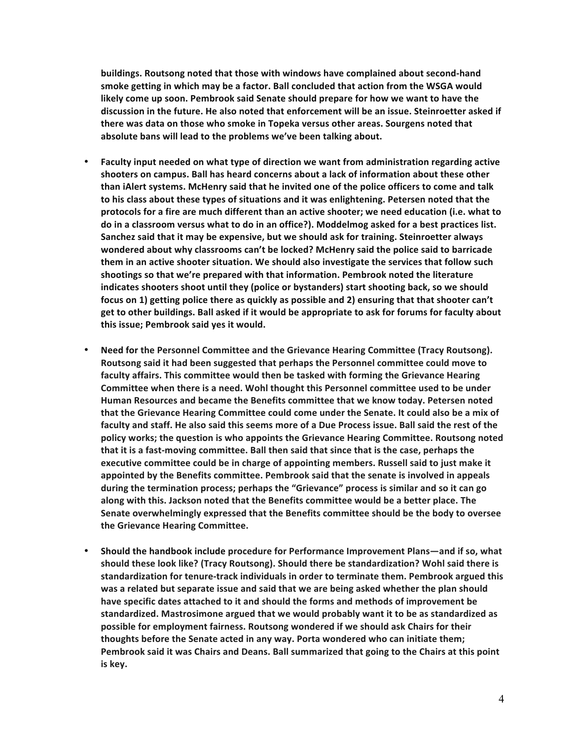**buildings. Routsong noted that those with windows have complained about second-hand**  smoke getting in which may be a factor. Ball concluded that action from the WSGA would likely come up soon. Pembrook said Senate should prepare for how we want to have the discussion in the future. He also noted that enforcement will be an issue. Steinroetter asked if there was data on those who smoke in Topeka versus other areas. Sourgens noted that absolute bans will lead to the problems we've been talking about.

- Faculty input needed on what type of direction we want from administration regarding active shooters on campus. Ball has heard concerns about a lack of information about these other **than iAlert systems. McHenry said that he invited one of the police officers to come and talk** to his class about these types of situations and it was enlightening. Petersen noted that the protocols for a fire are much different than an active shooter; we need education (i.e. what to do in a classroom versus what to do in an office?). Moddelmog asked for a best practices list. Sanchez said that it may be expensive, but we should ask for training. Steinroetter always **wondered about why classrooms can't be locked? McHenry said the police said to barricade** them in an active shooter situation. We should also investigate the services that follow such shootings so that we're prepared with that information. Pembrook noted the literature indicates shooters shoot until they (police or bystanders) start shooting back, so we should focus on 1) getting police there as quickly as possible and 2) ensuring that that shooter can't get to other buildings. Ball asked if it would be appropriate to ask for forums for faculty about this issue; Pembrook said yes it would.
- **Need for the Personnel Committee and the Grievance Hearing Committee (Tracy Routsong).** Routsong said it had been suggested that perhaps the Personnel committee could move to faculty affairs. This committee would then be tasked with forming the Grievance Hearing **Committee when there is a need. Wohl thought this Personnel committee used to be under** Human Resources and became the Benefits committee that we know today. Petersen noted that the Grievance Hearing Committee could come under the Senate. It could also be a mix of faculty and staff. He also said this seems more of a Due Process issue. Ball said the rest of the policy works; the question is who appoints the Grievance Hearing Committee. Routsong noted that it is a fast-moving committee. Ball then said that since that is the case, perhaps the executive committee could be in charge of appointing members. Russell said to just make it appointed by the Benefits committee. Pembrook said that the senate is involved in appeals during the termination process; perhaps the "Grievance" process is similar and so it can go along with this. Jackson noted that the Benefits committee would be a better place. The **Senate overwhelmingly expressed that the Benefits committee should be the body to oversee** the Grievance Hearing Committee.
- Should the handbook include procedure for Performance Improvement Plans—and if so, what should these look like? (Tracy Routsong). Should there be standardization? Wohl said there is standardization for tenure-track individuals in order to terminate them. Pembrook argued this was a related but separate issue and said that we are being asked whether the plan should have specific dates attached to it and should the forms and methods of improvement be standardized. Mastrosimone argued that we would probably want it to be as standardized as possible for employment fairness. Routsong wondered if we should ask Chairs for their thoughts before the Senate acted in any way. Porta wondered who can initiate them; Pembrook said it was Chairs and Deans. Ball summarized that going to the Chairs at this point **is key.**